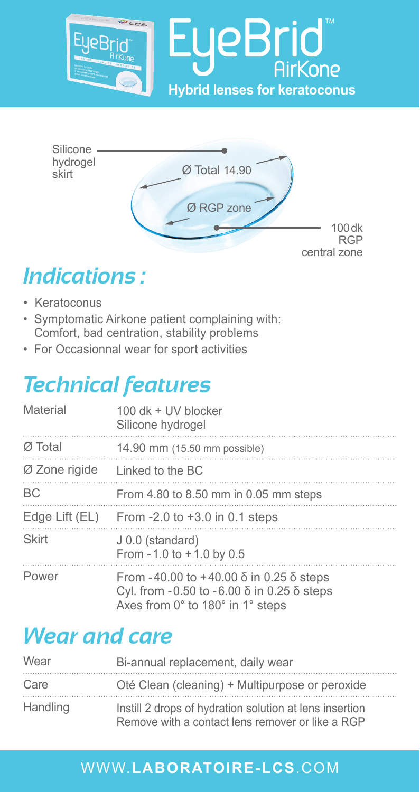



# *Indications :*

- Keratoconus
- Symptomatic Airkone patient complaining with: Comfort, bad centration, stability problems
- For Occasionnal wear for sport activities

# *Technical features*

| Material       | 100 dk + UV blocker<br>Silicone hydrogel                                                                                      |
|----------------|-------------------------------------------------------------------------------------------------------------------------------|
| Ø Total        | 14.90 mm (15.50 mm possible)                                                                                                  |
| Ø Zone rigide  | Linked to the BC                                                                                                              |
| BC             | From 4.80 to 8.50 mm in 0.05 mm steps                                                                                         |
| Edge Lift (EL) | From -2.0 to +3.0 in 0.1 steps                                                                                                |
| Skirt          | J 0.0 (standard)<br>From $-1.0$ to $+1.0$ by 0.5                                                                              |
| Power          | From -40.00 to +40.00 δ in 0.25 δ steps<br>Cyl. from $-0.50$ to $-6.00$ δ in 0.25 δ steps<br>Axes from 0° to 180° in 1° steps |

## *Wear and care*

| Wear     | Bi-annual replacement, daily wear                                                                           |
|----------|-------------------------------------------------------------------------------------------------------------|
| Care     | Oté Clean (cleaning) + Multipurpose or peroxide                                                             |
| Handling | Instill 2 drops of hydration solution at lens insertion<br>Remove with a contact lens remover or like a RGP |

### WWW.**LABORATOIRE-LCS**.COM